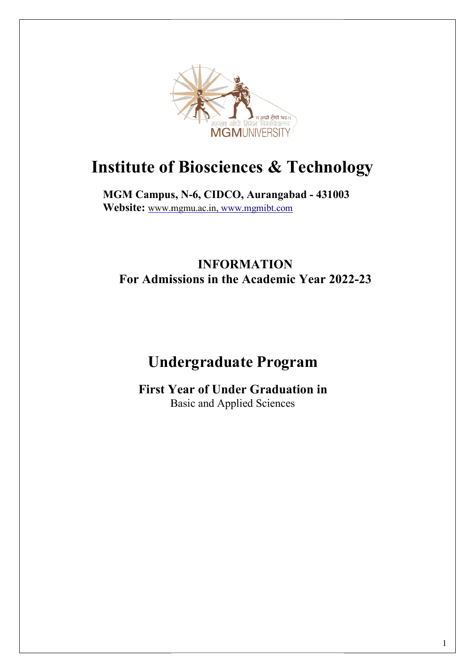

## Institute of Biosciences & Technology

MGM Campus, N N-6, CIDCO, Aurangabad - 431003 Website: www.mgmu.ac.in, www.mgmibt.com

### For Admissions in the Academic Year 2022-23 INFORMATION

# Undergraduate Program Admissions in the Academic Year 2022<br>Undergraduate Program<br>First Year of Under Graduation in

First Year of Under Graduation in Basic and Applied Sciences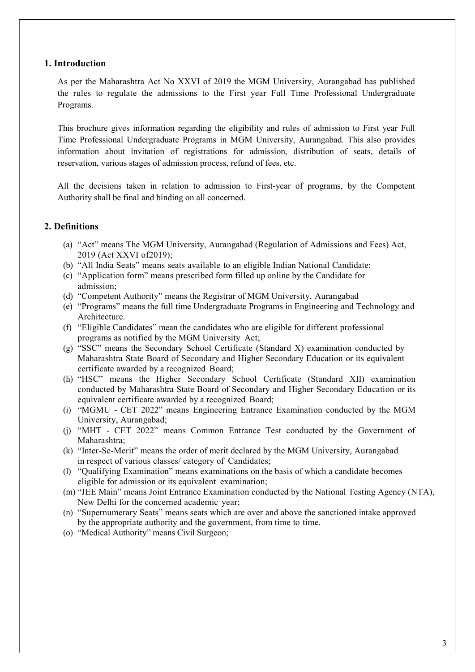#### 1. Introduction

As per the Maharashtra Act No XXVI of 2019 the MGM University, Aurangabad has published the rules to regulate the admissions to the First year Full Time Professional Undergraduate Programs.

This brochure gives information regarding the eligibility and rules of admission to First year Full Time Professional Undergraduate Programs in MGM University, Aurangabad. This also provides information about invitation of registrations for admission, distribution of seats, details of reservation, various stages of admission process, refund of fees, etc.

All the decisions taken in relation to admission to First-year of programs, by the Competent Authority shall be final and binding on all concerned.

#### 2. Definitions

- (a) "Act" means The MGM University, Aurangabad (Regulation of Admissions and Fees) Act, 2019 (Act XXVI of2019);
- (b) "All India Seats" means seats available to an eligible Indian National Candidate;
- (c) "Application form" means prescribed form filled up online by the Candidate for admission;
- (d) "Competent Authority" means the Registrar of MGM University, Aurangabad
- (e) "Programs" means the full time Undergraduate Programs in Engineering and Technology and Architecture.
- (f) "Eligible Candidates" mean the candidates who are eligible for different professional programs as notified by the MGM University Act;
- (g) "SSC" means the Secondary School Certificate (Standard X) examination conducted by Maharashtra State Board of Secondary and Higher Secondary Education or its equivalent certificate awarded by a recognized Board;
- (h) "HSC" means the Higher Secondary School Certificate (Standard XII) examination conducted by Maharashtra State Board of Secondary and Higher Secondary Education or its equivalent certificate awarded by a recognized Board;
- (i) "MGMU CET 2022" means Engineering Entrance Examination conducted by the MGM University, Aurangabad;
- (j) "MHT CET 2022" means Common Entrance Test conducted by the Government of Maharashtra;
- (k) "Inter-Se-Merit" means the order of merit declared by the MGM University, Aurangabad in respect of various classes/ category of Candidates;
- (l) "Qualifying Examination" means examinations on the basis of which a candidate becomes eligible for admission or its equivalent examination;
- (m) "JEE Main" means Joint Entrance Examination conducted by the National Testing Agency (NTA), New Delhi for the concerned academic year;
- (n) "Supernumerary Seats" means seats which are over and above the sanctioned intake approved by the appropriate authority and the government, from time to time.
- (o) "Medical Authority" means Civil Surgeon;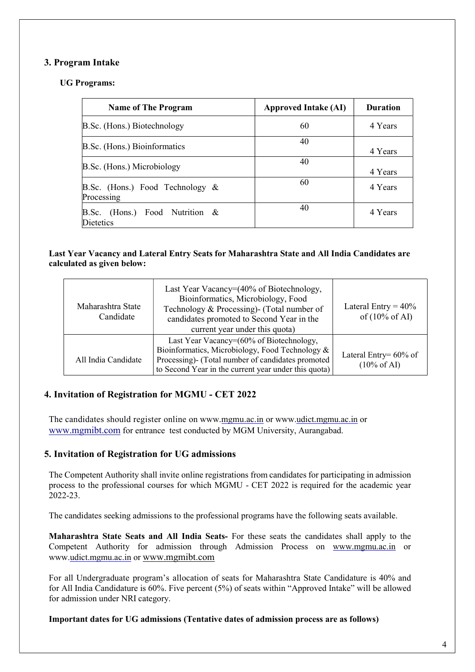#### 3. Program Intake

#### UG Programs:

| <b>Name of The Program</b>                               | <b>Approved Intake (AI)</b> | <b>Duration</b> |
|----------------------------------------------------------|-----------------------------|-----------------|
| B.Sc. (Hons.) Biotechnology                              | 60                          | 4 Years         |
| B.Sc. (Hons.) Bioinformatics                             | 40                          | 4 Years         |
| B.Sc. (Hons.) Microbiology                               | 40                          | 4 Years         |
| B.Sc. (Hons.) Food Technology $\&$<br>Processing         | 60                          | 4 Years         |
| (Hons.) Food Nutrition $\&$<br>B.Sc.<br><b>Dietetics</b> | 40                          | 4 Years         |

#### Last Year Vacancy and Lateral Entry Seats for Maharashtra State and All India Candidates are calculated as given below:

| Maharashtra State<br>Candidate                                                                                                                                                                                                  | Last Year Vacancy=(40% of Biotechnology,<br>Bioinformatics, Microbiology, Food<br>Technology & Processing)- (Total number of<br>candidates promoted to Second Year in the<br>current year under this quota) | Lateral Entry = $40\%$<br>of $(10\% \text{ of AI})$ |
|---------------------------------------------------------------------------------------------------------------------------------------------------------------------------------------------------------------------------------|-------------------------------------------------------------------------------------------------------------------------------------------------------------------------------------------------------------|-----------------------------------------------------|
| Last Year Vacancy=(60% of Biotechnology,<br>Bioinformatics, Microbiology, Food Technology &<br>Processing)- (Total number of candidates promoted<br>All India Candidate<br>to Second Year in the current year under this quota) |                                                                                                                                                                                                             | Lateral Entry= $60\%$ of<br>$(10\% \text{ of AI})$  |

#### 4. Invitation of Registration for MGMU - CET 2022

The candidates should register online on www.mgmu.ac.in or www.udict.mgmu.ac.in or www.mgmibt.com for entrance test conducted by MGM University, Aurangabad.

#### 5. Invitation of Registration for UG admissions

The Competent Authority shall invite online registrations from candidates for participating in admission process to the professional courses for which MGMU - CET 2022 is required for the academic year 2022-23.

The candidates seeking admissions to the professional programs have the following seats available.

Maharashtra State Seats and All India Seats- For these seats the candidates shall apply to the Competent Authority for admission through Admission Process on www.mgmu.ac.in or www.udict.mgmu.ac.in or www.mgmibt.com

For all Undergraduate program's allocation of seats for Maharashtra State Candidature is 40% and for All India Candidature is 60%. Five percent (5%) of seats within "Approved Intake" will be allowed for admission under NRI category.

#### Important dates for UG admissions (Tentative dates of admission process are as follows)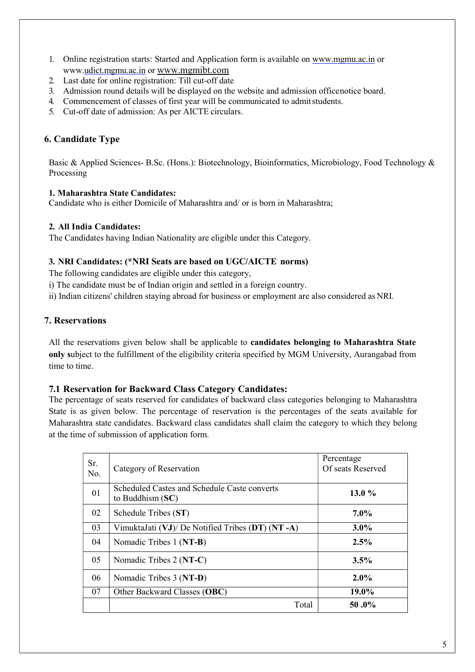- 1. Online registration starts: Started and Application form is available on www.mgmu.ac.in or www.udict.mgmu.ac.in or www.mgmibt.com
- 2. Last date for online registration: Till cut-off date
- 3. Admission round details will be displayed on the website and admission officenotice board.
- 4. Commencement of classes of first year will be communicated to admit students.
- 5. Cut-off date of admission: As per AICTE circulars.

#### 6. Candidate Type

Basic & Applied Sciences- B.Sc. (Hons.): Biotechnology, Bioinformatics, Microbiology, Food Technology & Processing

#### 1. Maharashtra State Candidates:

Candidate who is either Domicile of Maharashtra and/ or is born in Maharashtra;

#### 2. All India Candidates:

The Candidates having Indian Nationality are eligible under this Category.

#### 3. NRI Candidates: (\*NRI Seats are based on UGC/AICTE norms)

The following candidates are eligible under this category,

i) The candidate must be of Indian origin and settled in a foreign country.

ii) Indian citizens' children staying abroad for business or employment are also considered as NRI.

#### 7. Reservations

All the reservations given below shall be applicable to candidates belonging to Maharashtra State only subject to the fulfillment of the eligibility criteria specified by MGM University, Aurangabad from time to time.

#### 7.1 Reservation for Backward Class Category Candidates:

The percentage of seats reserved for candidates of backward class categories belonging to Maharashtra State is as given below. The percentage of reservation is the percentages of the seats available for Maharashtra state candidates. Backward class candidates shall claim the category to which they belong at the time of submission of application form.

| Sr.<br>No. | Category of Reservation                                            | Percentage<br>Of seats Reserved |
|------------|--------------------------------------------------------------------|---------------------------------|
| 01         | Scheduled Castes and Schedule Caste converts<br>to Buddhism $(SC)$ | 13.0 $%$                        |
| 02         | Schedule Tribes (ST)                                               | $7.0\%$                         |
| 03         | VimuktaJati (VJ)/ De Notified Tribes (DT) (NT -A)                  | $3.0\%$                         |
| 04         | Nomadic Tribes 1 (NT-B)                                            | 2.5%                            |
| 05         | Nomadic Tribes 2 (NT-C)                                            | 3.5%                            |
| 06         | Nomadic Tribes 3 (NT-D)                                            | $2.0\%$                         |
| 07         | Other Backward Classes (OBC)                                       | 19.0%                           |
|            | Total                                                              | 50.0%                           |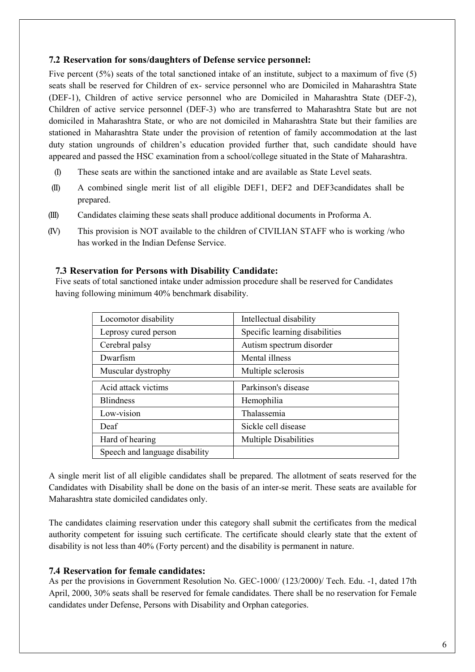#### 7.2 Reservation for sons/daughters of Defense service personnel:

Five percent (5%) seats of the total sanctioned intake of an institute, subject to a maximum of five (5) seats shall be reserved for Children of ex- service personnel who are Domiciled in Maharashtra State (DEF-1), Children of active service personnel who are Domiciled in Maharashtra State (DEF-2), Children of active service personnel (DEF-3) who are transferred to Maharashtra State but are not domiciled in Maharashtra State, or who are not domiciled in Maharashtra State but their families are stationed in Maharashtra State under the provision of retention of family accommodation at the last duty station ungrounds of children's education provided further that, such candidate should have appeared and passed the HSC examination from a school/college situated in the State of Maharashtra.

- (I) These seats are within the sanctioned intake and are available as State Level seats.
- (II) A combined single merit list of all eligible DEF1, DEF2 and DEF3candidates shall be prepared.
- (III) Candidates claiming these seats shall produce additional documents in Proforma A.
- (IV) This provision is NOT available to the children of CIVILIAN STAFF who is working /who has worked in the Indian Defense Service.

#### 7.3 Reservation for Persons with Disability Candidate:

Five seats of total sanctioned intake under admission procedure shall be reserved for Candidates having following minimum 40% benchmark disability.

| Locomotor disability           | Intellectual disability        |
|--------------------------------|--------------------------------|
| Leprosy cured person           | Specific learning disabilities |
| Cerebral palsy                 | Autism spectrum disorder       |
| Dwarfism                       | Mental illness                 |
| Muscular dystrophy             | Multiple sclerosis             |
| Acid attack victims            | Parkinson's disease            |
| <b>Blindness</b>               | Hemophilia                     |
| Low-vision                     | <b>Thalassemia</b>             |
| Deaf                           | Sickle cell disease            |
| Hard of hearing                | Multiple Disabilities          |
| Speech and language disability |                                |

A single merit list of all eligible candidates shall be prepared. The allotment of seats reserved for the Candidates with Disability shall be done on the basis of an inter-se merit. These seats are available for Maharashtra state domiciled candidates only.

The candidates claiming reservation under this category shall submit the certificates from the medical authority competent for issuing such certificate. The certificate should clearly state that the extent of disability is not less than 40% (Forty percent) and the disability is permanent in nature.

#### 7.4 Reservation for female candidates:

As per the provisions in Government Resolution No. GEC-1000/ (123/2000)/ Tech. Edu. -1, dated 17th April, 2000, 30% seats shall be reserved for female candidates. There shall be no reservation for Female candidates under Defense, Persons with Disability and Orphan categories.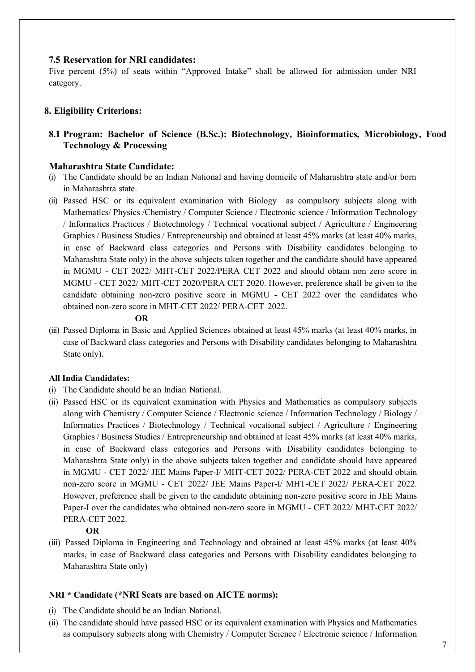#### 7.5 Reservation for NRI candidates:

Five percent (5%) of seats within "Approved Intake" shall be allowed for admission under NRI category.

#### 8. Eligibility Criterions:

#### 8.1 Program: Bachelor of Science (B.Sc.): Biotechnology, Bioinformatics, Microbiology, Food Technology & Processing

#### Maharashtra State Candidate:

- (i) The Candidate should be an Indian National and having domicile of Maharashtra state and/or born in Maharashtra state.
- (ii) Passed HSC or its equivalent examination with Biology as compulsory subjects along with Mathematics/ Physics /Chemistry / Computer Science / Electronic science / Information Technology / Informatics Practices / Biotechnology / Technical vocational subject / Agriculture / Engineering Graphics / Business Studies / Entrepreneurship and obtained at least 45% marks (at least 40% marks, in case of Backward class categories and Persons with Disability candidates belonging to Maharashtra State only) in the above subjects taken together and the candidate should have appeared in MGMU - CET 2022/ MHT-CET 2022/PERA CET 2022 and should obtain non zero score in MGMU - CET 2022/ MHT-CET 2020/PERA CET 2020. However, preference shall be given to the candidate obtaining non-zero positive score in MGMU - CET 2022 over the candidates who obtained non-zero score in MHT-CET 2022/ PERA-CET 2022.

#### OR

(iii) Passed Diploma in Basic and Applied Sciences obtained at least 45% marks (at least 40% marks, in case of Backward class categories and Persons with Disability candidates belonging to Maharashtra State only).

#### All India Candidates:

- (i) The Candidate should be an Indian National.
- (ii) Passed HSC or its equivalent examination with Physics and Mathematics as compulsory subjects along with Chemistry / Computer Science / Electronic science / Information Technology / Biology / Informatics Practices / Biotechnology / Technical vocational subject / Agriculture / Engineering Graphics / Business Studies / Entrepreneurship and obtained at least 45% marks (at least 40% marks, in case of Backward class categories and Persons with Disability candidates belonging to Maharashtra State only) in the above subjects taken together and candidate should have appeared in MGMU - CET 2022/ JEE Mains Paper-I/ MHT-CET 2022/ PERA-CET 2022 and should obtain non-zero score in MGMU - CET 2022/ JEE Mains Paper-I/ MHT-CET 2022/ PERA-CET 2022. However, preference shall be given to the candidate obtaining non-zero positive score in JEE Mains Paper-I over the candidates who obtained non-zero score in MGMU - CET 2022/ MHT-CET 2022/ PERA-CET 2022.

#### OR

(iii) Passed Diploma in Engineering and Technology and obtained at least 45% marks (at least 40% marks, in case of Backward class categories and Persons with Disability candidates belonging to Maharashtra State only)

#### NRI \* Candidate (\*NRI Seats are based on AICTE norms):

- (i) The Candidate should be an Indian National.
- (ii) The candidate should have passed HSC or its equivalent examination with Physics and Mathematics as compulsory subjects along with Chemistry / Computer Science / Electronic science / Information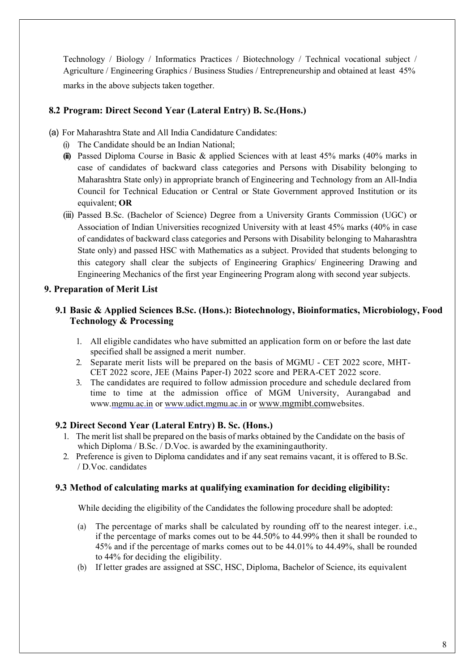Technology / Biology / Informatics Practices / Biotechnology / Technical vocational subject / Agriculture / Engineering Graphics / Business Studies / Entrepreneurship and obtained at least 45% marks in the above subjects taken together.

#### 8.2 Program: Direct Second Year (Lateral Entry) B. Sc.(Hons.)

- (a) For Maharashtra State and All India Candidature Candidates:
	- (i) The Candidate should be an Indian National;
	- (ii) Passed Diploma Course in Basic & applied Sciences with at least  $45\%$  marks  $(40\%$  marks in case of candidates of backward class categories and Persons with Disability belonging to Maharashtra State only) in appropriate branch of Engineering and Technology from an All-India Council for Technical Education or Central or State Government approved Institution or its equivalent; OR
	- (iii) Passed B.Sc. (Bachelor of Science) Degree from a University Grants Commission (UGC) or Association of Indian Universities recognized University with at least 45% marks (40% in case of candidates of backward class categories and Persons with Disability belonging to Maharashtra State only) and passed HSC with Mathematics as a subject. Provided that students belonging to this category shall clear the subjects of Engineering Graphics/ Engineering Drawing and Engineering Mechanics of the first year Engineering Program along with second year subjects.

#### 9. Preparation of Merit List

#### 9.1 Basic & Applied Sciences B.Sc. (Hons.): Biotechnology, Bioinformatics, Microbiology, Food Technology & Processing

- 1. All eligible candidates who have submitted an application form on or before the last date specified shall be assigned a merit number.
- 2. Separate merit lists will be prepared on the basis of MGMU CET 2022 score, MHT-CET 2022 score, JEE (Mains Paper-I) 2022 score and PERA-CET 2022 score.
- 3. The candidates are required to follow admission procedure and schedule declared from time to time at the admission office of MGM University, Aurangabad and www.mgmu.ac.in or www.udict.mgmu.ac.in or www.mgmibt.comwebsites.

#### 9.2 Direct Second Year (Lateral Entry) B. Sc. (Hons.)

- 1. The merit list shall be prepared on the basis of marks obtained by the Candidate on the basis of which Diploma / B.Sc. / D.Voc. is awarded by the examining authority.
- 2. Preference is given to Diploma candidates and if any seat remains vacant, it is offered to B.Sc. / D.Voc. candidates

#### 9.3 Method of calculating marks at qualifying examination for deciding eligibility:

While deciding the eligibility of the Candidates the following procedure shall be adopted:

- (a) The percentage of marks shall be calculated by rounding off to the nearest integer. i.e., if the percentage of marks comes out to be 44.50% to 44.99% then it shall be rounded to 45% and if the percentage of marks comes out to be 44.01% to 44.49%, shall be rounded to 44% for deciding the eligibility.
- (b) If letter grades are assigned at SSC, HSC, Diploma, Bachelor of Science, its equivalent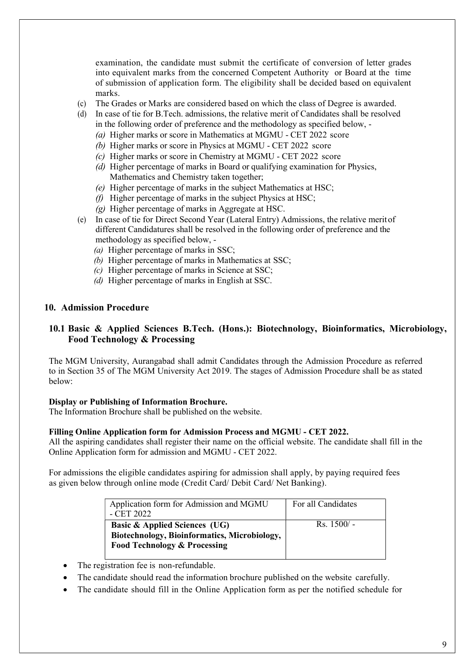examination, the candidate must submit the certificate of conversion of letter grades into equivalent marks from the concerned Competent Authority or Board at the time of submission of application form. The eligibility shall be decided based on equivalent marks.

- (c) The Grades or Marks are considered based on which the class of Degree is awarded.
- (d) In case of tie for B.Tech. admissions, the relative merit of Candidates shall be resolved in the following order of preference and the methodology as specified below, -
	- (a) Higher marks or score in Mathematics at MGMU CET 2022 score
	- (b) Higher marks or score in Physics at MGMU CET 2022 score
	- (c) Higher marks or score in Chemistry at MGMU CET 2022 score
	- (d) Higher percentage of marks in Board or qualifying examination for Physics, Mathematics and Chemistry taken together;
	- (e) Higher percentage of marks in the subject Mathematics at HSC;
	- (f) Higher percentage of marks in the subject Physics at HSC;
	- (g) Higher percentage of marks in Aggregate at HSC.
- (e) In case of tie for Direct Second Year (Lateral Entry) Admissions, the relative merit of different Candidatures shall be resolved in the following order of preference and the methodology as specified below, -
	- (a) Higher percentage of marks in SSC;
	- (b) Higher percentage of marks in Mathematics at SSC;
	- (c) Higher percentage of marks in Science at SSC;
	- (d) Higher percentage of marks in English at SSC.

#### 10. Admission Procedure

#### 10.1 Basic & Applied Sciences B.Tech. (Hons.): Biotechnology, Bioinformatics, Microbiology, Food Technology & Processing

The MGM University, Aurangabad shall admit Candidates through the Admission Procedure as referred to in Section 35 of The MGM University Act 2019. The stages of Admission Procedure shall be as stated below:

#### Display or Publishing of Information Brochure.

The Information Brochure shall be published on the website.

#### Filling Online Application form for Admission Process and MGMU - CET 2022.

All the aspiring candidates shall register their name on the official website. The candidate shall fill in the Online Application form for admission and MGMU - CET 2022.

For admissions the eligible candidates aspiring for admission shall apply, by paying required fees as given below through online mode (Credit Card/ Debit Card/ Net Banking).

| Application form for Admission and MGMU<br>$-$ CET 2022                                                                             | For all Candidates  |
|-------------------------------------------------------------------------------------------------------------------------------------|---------------------|
| <b>Basic &amp; Applied Sciences (UG)</b><br>Biotechnology, Bioinformatics, Microbiology,<br><b>Food Technology &amp; Processing</b> | $\text{Rs.} 1500/-$ |

- The registration fee is non-refundable.
- The candidate should read the information brochure published on the website carefully.
- The candidate should fill in the Online Application form as per the notified schedule for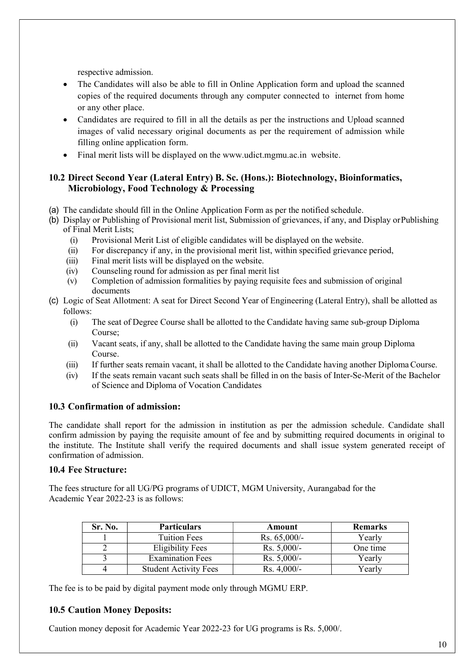respective admission.

- The Candidates will also be able to fill in Online Application form and upload the scanned copies of the required documents through any computer connected to internet from home or any other place.
- Candidates are required to fill in all the details as per the instructions and Upload scanned images of valid necessary original documents as per the requirement of admission while filling online application form.
- Final merit lists will be displayed on the www.udict.mgmu.ac.in website.

#### 10.2 Direct Second Year (Lateral Entry) B. Sc. (Hons.): Biotechnology, Bioinformatics, Microbiology, Food Technology & Processing

- (a) The candidate should fill in the Online Application Form as per the notified schedule.
- (b) Display or Publishing of Provisional merit list, Submission of grievances, if any, and Display or Publishing of Final Merit Lists;
	- (i) Provisional Merit List of eligible candidates will be displayed on the website.
	- (ii) For discrepancy if any, in the provisional merit list, within specified grievance period,
	- (iii) Final merit lists will be displayed on the website.
	- (iv) Counseling round for admission as per final merit list
	- (v) Completion of admission formalities by paying requisite fees and submission of original documents
- (c) Logic of Seat Allotment: A seat for Direct Second Year of Engineering (Lateral Entry), shall be allotted as follows:
	- (i) The seat of Degree Course shall be allotted to the Candidate having same sub-group Diploma Course;
	- (ii) Vacant seats, if any, shall be allotted to the Candidate having the same main group Diploma Course.
	- (iii) If further seats remain vacant, it shall be allotted to the Candidate having another Diploma Course.
	- (iv) If the seats remain vacant such seats shall be filled in on the basis of Inter-Se-Merit of the Bachelor of Science and Diploma of Vocation Candidates

#### 10.3 Confirmation of admission:

The candidate shall report for the admission in institution as per the admission schedule. Candidate shall confirm admission by paying the requisite amount of fee and by submitting required documents in original to the institute. The Institute shall verify the required documents and shall issue system generated receipt of confirmation of admission.

#### 10.4 Fee Structure:

The fees structure for all UG/PG programs of UDICT, MGM University, Aurangabad for the Academic Year 2022-23 is as follows:

| Sr. No. | <b>Particulars</b>           | Amount         | <b>Remarks</b> |
|---------|------------------------------|----------------|----------------|
|         | <b>Tuition Fees</b>          | Rs. $65,000/-$ | Yearly         |
|         | <b>Eligibility Fees</b>      | $Rs. 5,000/-$  | One time       |
|         | <b>Examination Fees</b>      | $Rs. 5,000/-$  | Yearly         |
|         | <b>Student Activity Fees</b> | $Rs. 4,000/-$  | Yearlv         |

The fee is to be paid by digital payment mode only through MGMU ERP.

#### 10.5 Caution Money Deposits:

Caution money deposit for Academic Year 2022-23 for UG programs is Rs. 5,000/.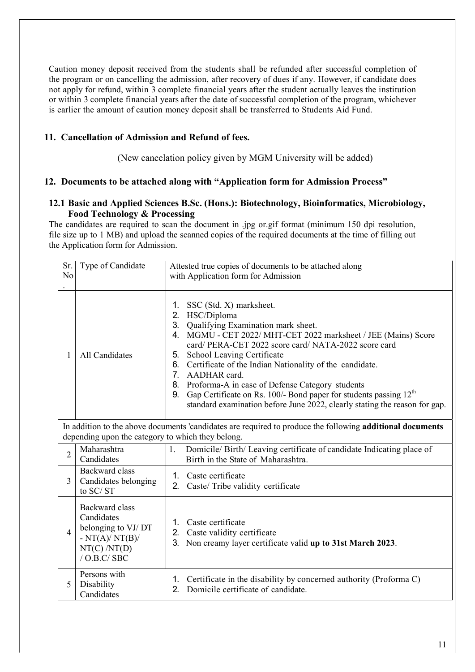Caution money deposit received from the students shall be refunded after successful completion of the program or on cancelling the admission, after recovery of dues if any. However, if candidate does not apply for refund, within 3 complete financial years after the student actually leaves the institution or within 3 complete financial years after the date of successful completion of the program, whichever is earlier the amount of caution money deposit shall be transferred to Students Aid Fund.

#### 11. Cancellation of Admission and Refund of fees.

(New cancelation policy given by MGM University will be added)

#### 12. Documents to be attached along with "Application form for Admission Process"

#### 12.1 Basic and Applied Sciences B.Sc. (Hons.): Biotechnology, Bioinformatics, Microbiology, Food Technology & Processing

The candidates are required to scan the document in .jpg or.gif format (minimum 150 dpi resolution, file size up to 1 MB) and upload the scanned copies of the required documents at the time of filling out the Application form for Admission.

| Sr.<br>N <sub>o</sub> | Type of Candidate                                                                                                                                                     | Attested true copies of documents to be attached along<br>with Application form for Admission                                                                                                                                                                                                                                                                                                                                                                                                                                                               |  |
|-----------------------|-----------------------------------------------------------------------------------------------------------------------------------------------------------------------|-------------------------------------------------------------------------------------------------------------------------------------------------------------------------------------------------------------------------------------------------------------------------------------------------------------------------------------------------------------------------------------------------------------------------------------------------------------------------------------------------------------------------------------------------------------|--|
| 1                     | All Candidates                                                                                                                                                        | SSC (Std. X) marksheet.<br>1.<br>2.<br>HSC/Diploma<br>3. Qualifying Examination mark sheet.<br>4. MGMU - CET 2022/ MHT-CET 2022 marksheet / JEE (Mains) Score<br>card/ PERA-CET 2022 score card/ NATA-2022 score card<br>School Leaving Certificate<br>5.<br>6. Certificate of the Indian Nationality of the candidate.<br>7. AADHAR card.<br>8. Proforma-A in case of Defense Category students<br>Gap Certificate on Rs. 100/- Bond paper for students passing $12th$<br>9.<br>standard examination before June 2022, clearly stating the reason for gap. |  |
|                       | In addition to the above documents 'candidates are required to produce the following <b>additional documents</b><br>depending upon the category to which they belong. |                                                                                                                                                                                                                                                                                                                                                                                                                                                                                                                                                             |  |
| $\overline{2}$        | Maharashtra<br>Candidates                                                                                                                                             | 1.<br>Domicile/ Birth/ Leaving certificate of candidate Indicating place of<br>Birth in the State of Maharashtra.                                                                                                                                                                                                                                                                                                                                                                                                                                           |  |
| 3                     | Backward class<br>Candidates belonging<br>to SC/ST                                                                                                                    | 1. Caste certificate<br>Caste/ Tribe validity certificate<br>2.                                                                                                                                                                                                                                                                                                                                                                                                                                                                                             |  |
| $\overline{4}$        | Backward class<br>Candidates<br>belonging to VJ/DT<br>$-NT(A)/NT(B)/$<br>NT(C) / NT(D)<br>$/$ O.B.C $/$ SBC                                                           | 1. Caste certificate<br>2. Caste validity certificate<br>3.<br>Non creamy layer certificate valid up to 31st March 2023.                                                                                                                                                                                                                                                                                                                                                                                                                                    |  |
| 5                     | Persons with<br>Disability<br>Candidates                                                                                                                              | Certificate in the disability by concerned authority (Proforma C)<br>1.<br>Domicile certificate of candidate.<br>2.                                                                                                                                                                                                                                                                                                                                                                                                                                         |  |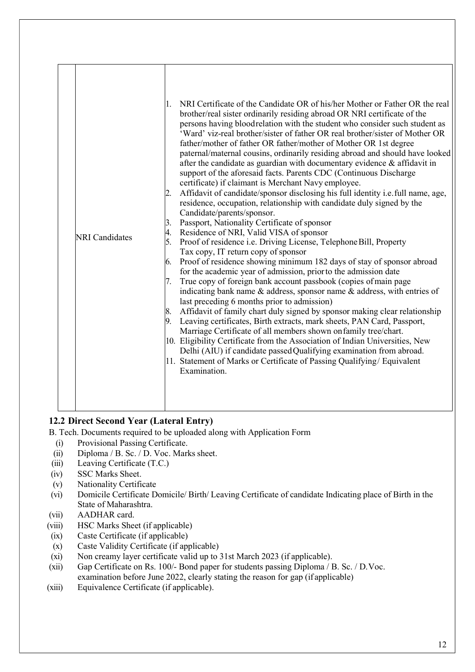| <b>NRI</b> Candidates | NRI Certificate of the Candidate OR of his/her Mother or Father OR the real<br>1.<br>brother/real sister ordinarily residing abroad OR NRI certificate of the<br>persons having bloodrelation with the student who consider such student as<br>'Ward' viz-real brother/sister of father OR real brother/sister of Mother OR<br>father/mother of father OR father/mother of Mother OR 1st degree<br>paternal/maternal cousins, ordinarily residing abroad and should have looked<br>after the candidate as guardian with documentary evidence $\&$ affidavit in<br>support of the aforesaid facts. Parents CDC (Continuous Discharge<br>certificate) if claimant is Merchant Navy employee.<br>Affidavit of candidate/sponsor disclosing his full identity i.e. full name, age,<br>2.<br>residence, occupation, relationship with candidate duly signed by the<br>Candidate/parents/sponsor.<br>3.<br>Passport, Nationality Certificate of sponsor<br>Residence of NRI, Valid VISA of sponsor<br>4.<br>5.<br>Proof of residence i.e. Driving License, Telephone Bill, Property<br>Tax copy, IT return copy of sponsor<br>Proof of residence showing minimum 182 days of stay of sponsor abroad<br>6.<br>for the academic year of admission, prior to the admission date<br>True copy of foreign bank account passbook (copies of main page<br>7.<br>indicating bank name $\&$ address, sponsor name $\&$ address, with entries of<br>last preceding 6 months prior to admission)<br>Affidavit of family chart duly signed by sponsor making clear relationship<br>8.<br>9. Leaving certificates, Birth extracts, mark sheets, PAN Card, Passport,<br>Marriage Certificate of all members shown on family tree/chart.<br>10. Eligibility Certificate from the Association of Indian Universities, New<br>Delhi (AIU) if candidate passed Qualifying examination from abroad.<br>11. Statement of Marks or Certificate of Passing Qualifying/ Equivalent<br>Examination. |
|-----------------------|-----------------------------------------------------------------------------------------------------------------------------------------------------------------------------------------------------------------------------------------------------------------------------------------------------------------------------------------------------------------------------------------------------------------------------------------------------------------------------------------------------------------------------------------------------------------------------------------------------------------------------------------------------------------------------------------------------------------------------------------------------------------------------------------------------------------------------------------------------------------------------------------------------------------------------------------------------------------------------------------------------------------------------------------------------------------------------------------------------------------------------------------------------------------------------------------------------------------------------------------------------------------------------------------------------------------------------------------------------------------------------------------------------------------------------------------------------------------------------------------------------------------------------------------------------------------------------------------------------------------------------------------------------------------------------------------------------------------------------------------------------------------------------------------------------------------------------------------------------------------------------------------------------------------------------------------------------------------------|

#### 12.2 Direct Second Year (Lateral Entry)

- B. Tech. Documents required to be uploaded along with Application Form
- (i) Provisional Passing Certificate.
- (ii) Diploma / B. Sc. / D. Voc. Marks sheet.
- (iii) Leaving Certificate (T.C.)
- (iv) SSC Marks Sheet.
- (v) Nationality Certificate
- (vi) Domicile Certificate Domicile/ Birth/ Leaving Certificate of candidate Indicating place of Birth in the State of Maharashtra.
- (vii) AADHAR card.
- (viii) HSC Marks Sheet (if applicable)
- (ix) Caste Certificate (if applicable)
- (x) Caste Validity Certificate (if applicable)
- (xi) Non creamy layer certificate valid up to 31st March 2023 (if applicable).
- (xii) Gap Certificate on Rs. 100/- Bond paper for students passing Diploma / B. Sc. / D. Voc. examination before June 2022, clearly stating the reason for gap (if applicable)
- (xiii) Equivalence Certificate (if applicable).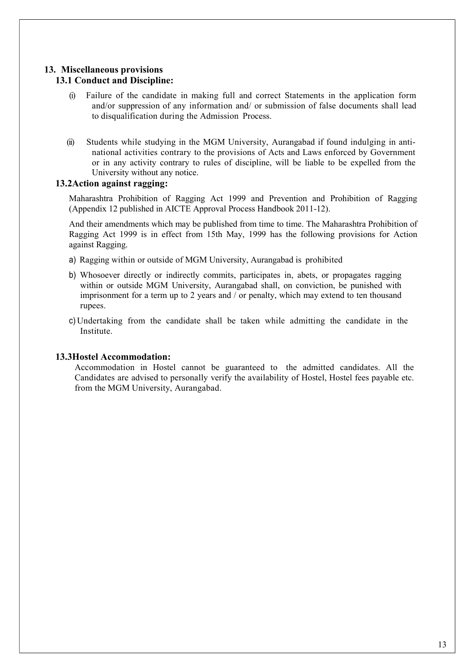#### 13. Miscellaneous provisions

#### 13.1 Conduct and Discipline:

- (i) Failure of the candidate in making full and correct Statements in the application form and/or suppression of any information and/ or submission of false documents shall lead to disqualification during the Admission Process.
- (ii) Students while studying in the MGM University, Aurangabad if found indulging in antinational activities contrary to the provisions of Acts and Laws enforced by Government or in any activity contrary to rules of discipline, will be liable to be expelled from the University without any notice.

#### 13.2Action against ragging:

Maharashtra Prohibition of Ragging Act 1999 and Prevention and Prohibition of Ragging (Appendix 12 published in AICTE Approval Process Handbook 2011-12).

And their amendments which may be published from time to time. The Maharashtra Prohibition of Ragging Act 1999 is in effect from 15th May, 1999 has the following provisions for Action against Ragging.

- a) Ragging within or outside of MGM University, Aurangabad is prohibited
- b) Whosoever directly or indirectly commits, participates in, abets, or propagates ragging within or outside MGM University, Aurangabad shall, on conviction, be punished with imprisonment for a term up to 2 years and / or penalty, which may extend to ten thousand rupees.
- c) Undertaking from the candidate shall be taken while admitting the candidate in the Institute.

#### 13.3Hostel Accommodation:

Accommodation in Hostel cannot be guaranteed to the admitted candidates. All the Candidates are advised to personally verify the availability of Hostel, Hostel fees payable etc. from the MGM University, Aurangabad.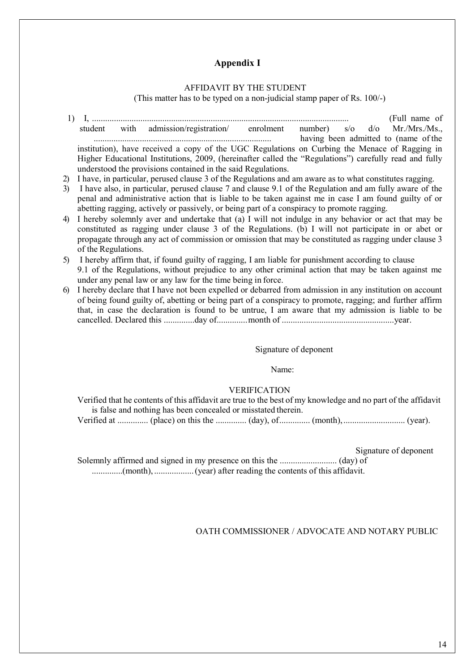#### Appendix I

#### AFFIDAVIT BY THE STUDENT

(This matter has to be typed on a non-judicial stamp paper of Rs. 100/-)

- 1) I, ..................................................................................................................... (Full name of student with admission/registration/ enrolment number) s/o d/o Mr./Mrs./Ms., ................................................................................. having been admitted to (name of the institution), have received a copy of the UGC Regulations on Curbing the Menace of Ragging in Higher Educational Institutions, 2009, (hereinafter called the "Regulations") carefully read and fully understood the provisions contained in the said Regulations.
- 2) I have, in particular, perused clause 3 of the Regulations and am aware as to what constitutes ragging.
- 3) I have also, in particular, perused clause 7 and clause 9.1 of the Regulation and am fully aware of the penal and administrative action that is liable to be taken against me in case I am found guilty of or abetting ragging, actively or passively, or being part of a conspiracy to promote ragging.
- 4) I hereby solemnly aver and undertake that (a) I will not indulge in any behavior or act that may be constituted as ragging under clause 3 of the Regulations. (b) I will not participate in or abet or propagate through any act of commission or omission that may be constituted as ragging under clause 3 of the Regulations.
- 5) I hereby affirm that, if found guilty of ragging, I am liable for punishment according to clause 9.1 of the Regulations, without prejudice to any other criminal action that may be taken against me under any penal law or any law for the time being in force.
- 6) I hereby declare that I have not been expelled or debarred from admission in any institution on account of being found guilty of, abetting or being part of a conspiracy to promote, ragging; and further affirm that, in case the declaration is found to be untrue, I am aware that my admission is liable to be cancelled. Declared this ..............day of.............. month of ................................................... year.

#### Signature of deponent

Name:

#### VERIFICATION

Verified that he contents of this affidavit are true to the best of my knowledge and no part of the affidavit is false and nothing has been concealed or misstated therein. Verified at .............. (place) on this the .............. (day), of .............. (month), ............................ (year).

Signature of deponent

Solemnly affirmed and signed in my presence on this the .......................... (day) of ..............(month), .................. (year) after reading the contents of this affidavit.

#### OATH COMMISSIONER / ADVOCATE AND NOTARY PUBLIC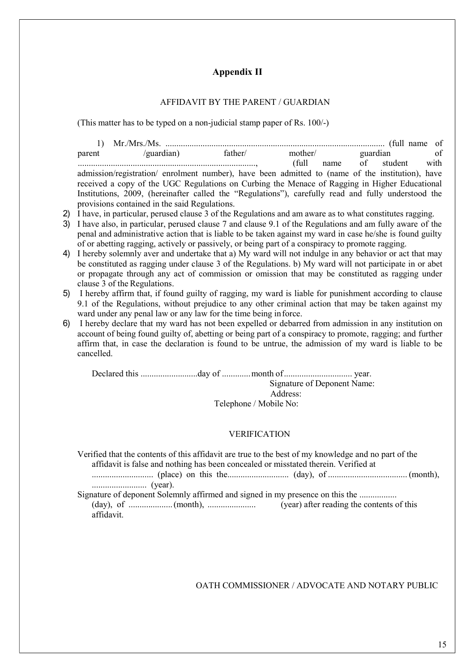#### Appendix II

#### AFFIDAVIT BY THE PARENT / GUARDIAN

(This matter has to be typed on a non-judicial stamp paper of Rs. 100/-)

1) Mr./Mrs./Ms. .................................................................................................... (full name of parent /guardian) father/ mother/ guardian of ................................................................................., (full name of student with admission/registration/ enrolment number), have been admitted to (name of the institution), have received a copy of the UGC Regulations on Curbing the Menace of Ragging in Higher Educational Institutions, 2009, (hereinafter called the "Regulations"), carefully read and fully understood the provisions contained in the said Regulations.

- 2) I have, in particular, perused clause 3 of the Regulations and am aware as to what constitutes ragging.
- 3) I have also, in particular, perused clause 7 and clause 9.1 of the Regulations and am fully aware of the penal and administrative action that is liable to be taken against my ward in case he/she is found guilty of or abetting ragging, actively or passively, or being part of a conspiracy to promote ragging.
- 4) I hereby solemnly aver and undertake that a) My ward will not indulge in any behavior or act that may be constituted as ragging under clause 3 of the Regulations. b) My ward will not participate in or abet or propagate through any act of commission or omission that may be constituted as ragging under clause 3 of the Regulations.
- 5) I hereby affirm that, if found guilty of ragging, my ward is liable for punishment according to clause 9.1 of the Regulations, without prejudice to any other criminal action that may be taken against my ward under any penal law or any law for the time being in force.
- 6) I hereby declare that my ward has not been expelled or debarred from admission in any institution on account of being found guilty of, abetting or being part of a conspiracy to promote, ragging; and further affirm that, in case the declaration is found to be untrue, the admission of my ward is liable to be cancelled.

Declared this ..........................day of ............. month of ............................... year. Signature of Deponent Name: Address: Telephone / Mobile No:

#### VERIFICATION

Verified that the contents of this affidavit are true to the best of my knowledge and no part of the affidavit is false and nothing has been concealed or misstated therein. Verified at ............................ (place) on this the............................ (day), of .................................... (month), ......................... (year). Signature of deponent Solemnly affirmed and signed in my presence on this the .................

(day), of .................... (month), ...................... (year) after reading the contents of this affidavit.

OATH COMMISSIONER / ADVOCATE AND NOTARY PUBLIC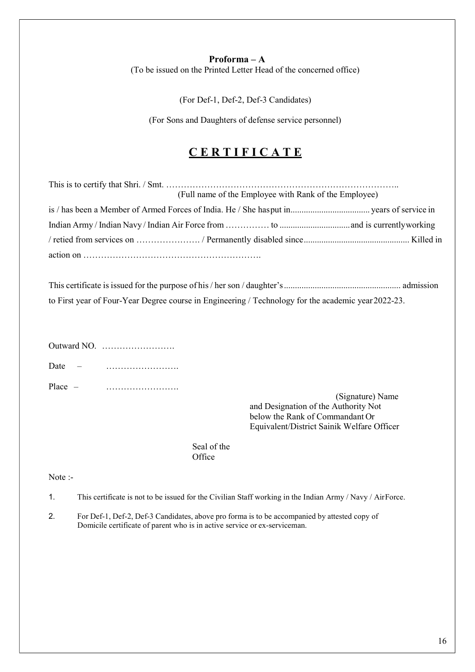#### Proforma – A

(To be issued on the Printed Letter Head of the concerned office)

(For Def-1, Def-2, Def-3 Candidates)

(For Sons and Daughters of defense service personnel)

#### CERTIFICATE

| (Full name of the Employee with Rank of the Employee) |  |
|-------------------------------------------------------|--|
|                                                       |  |
|                                                       |  |
|                                                       |  |
|                                                       |  |

| to First year of Four-Year Degree course in Engineering / Technology for the academic year 2022-23. |  |
|-----------------------------------------------------------------------------------------------------|--|

|           | Outward NO. $\dots \dots \dots \dots \dots \dots$ |
|-----------|---------------------------------------------------|
| Date      | .                                                 |
| $Place -$ |                                                   |

(Signature) Name and Designation of the Authority Not below the Rank of Commandant Or Equivalent/District Sainik Welfare Officer

Seal of the **Office** 

Note :-

1. This certificate is not to be issued for the Civilian Staff working in the Indian Army / Navy / Air Force.

2. For Def-1, Def-2, Def-3 Candidates, above pro forma is to be accompanied by attested copy of Domicile certificate of parent who is in active service or ex-serviceman.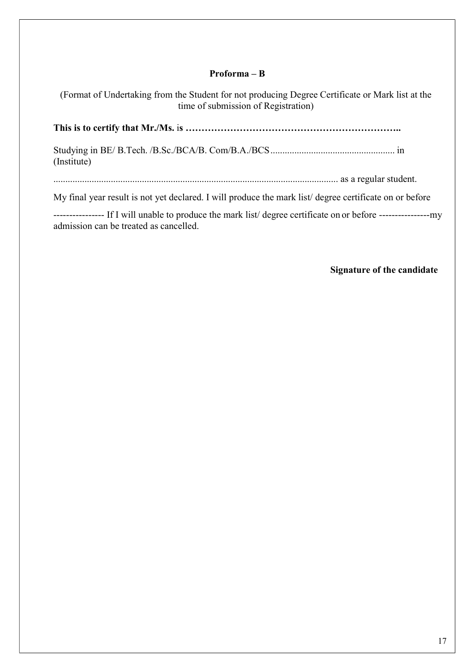#### Proforma – B

(Format of Undertaking from the Student for not producing Degree Certificate or Mark list at the time of submission of Registration)

This is to certify that Mr./Ms. is …………………………………………………………..

Studying in BE/ B.Tech. /B.Sc./BCA/B. Com/B.A./BCS .................................................... in (Institute)

....................................................................................................................... as a regular student.

My final year result is not yet declared. I will produce the mark list/ degree certificate on or before

---------------- If I will unable to produce the mark list/ degree certificate on or before ---------------- my admission can be treated as cancelled.

#### Signature of the candidate